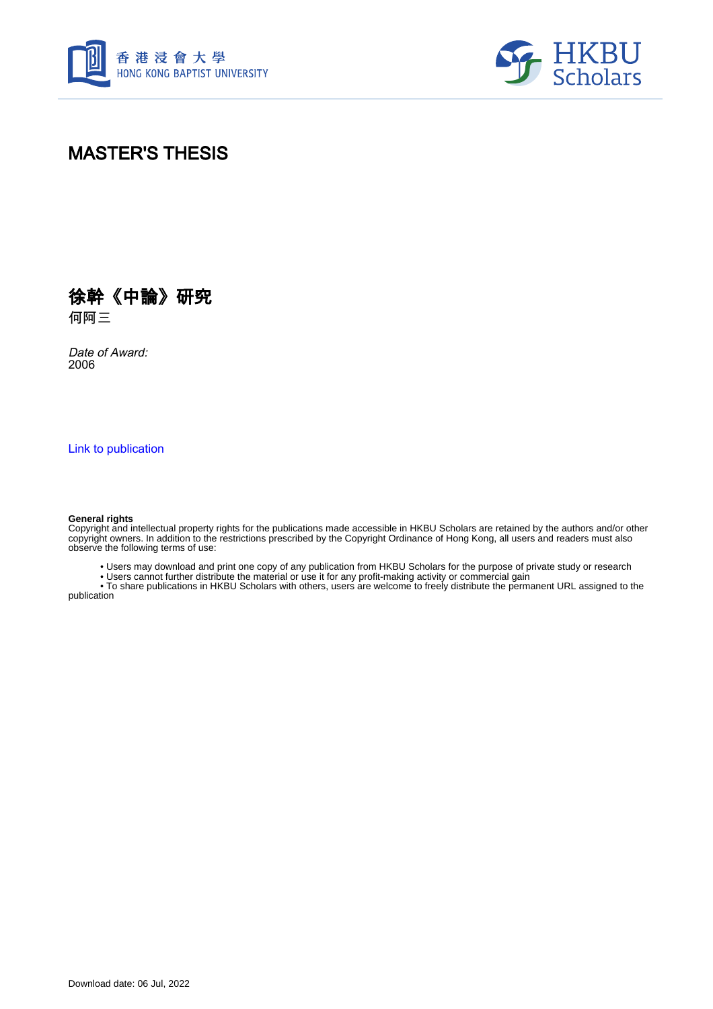



## MASTER'S THESIS



何阿三

Date of Award: 2006

[Link to publication](https://scholars.hkbu.edu.hk/en/studentTheses/8f3b5c39-02b7-4473-94d4-c27aaea81a46)

#### **General rights**

Copyright and intellectual property rights for the publications made accessible in HKBU Scholars are retained by the authors and/or other copyright owners. In addition to the restrictions prescribed by the Copyright Ordinance of Hong Kong, all users and readers must also observe the following terms of use:

• Users may download and print one copy of any publication from HKBU Scholars for the purpose of private study or research

• Users cannot further distribute the material or use it for any profit-making activity or commercial gain

 • To share publications in HKBU Scholars with others, users are welcome to freely distribute the permanent URL assigned to the publication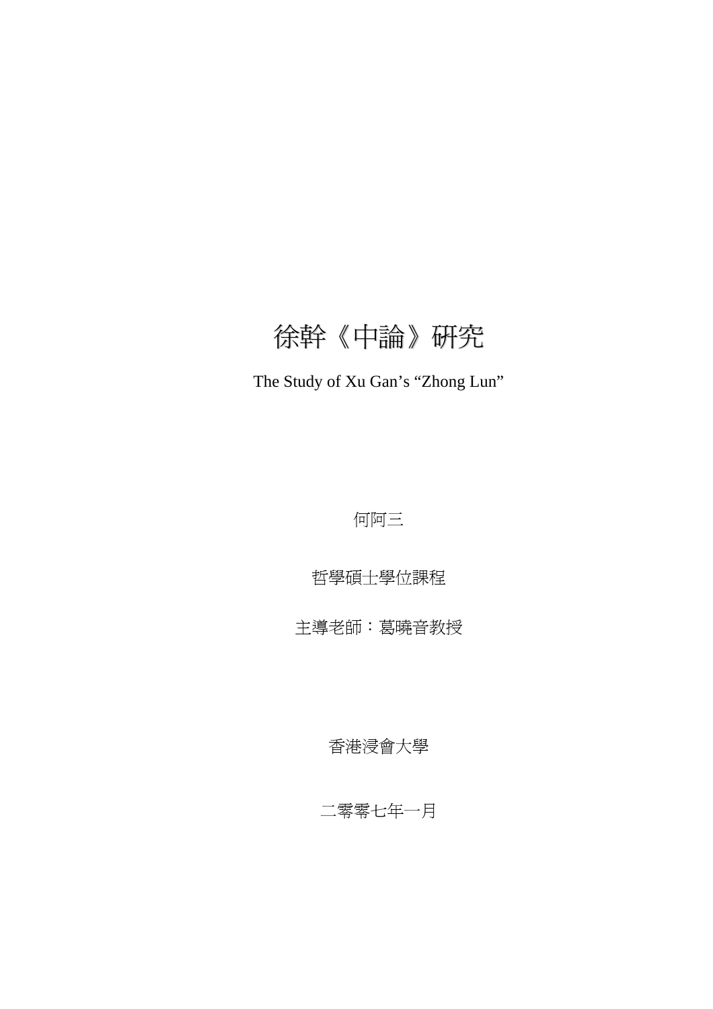# 徐幹《中論》研究

# The Study of Xu Gan's "Zhong Lun"

何阿三

哲學碩士學位課程

主導老師:葛曉音教授

香港浸會大學

二零零七年一月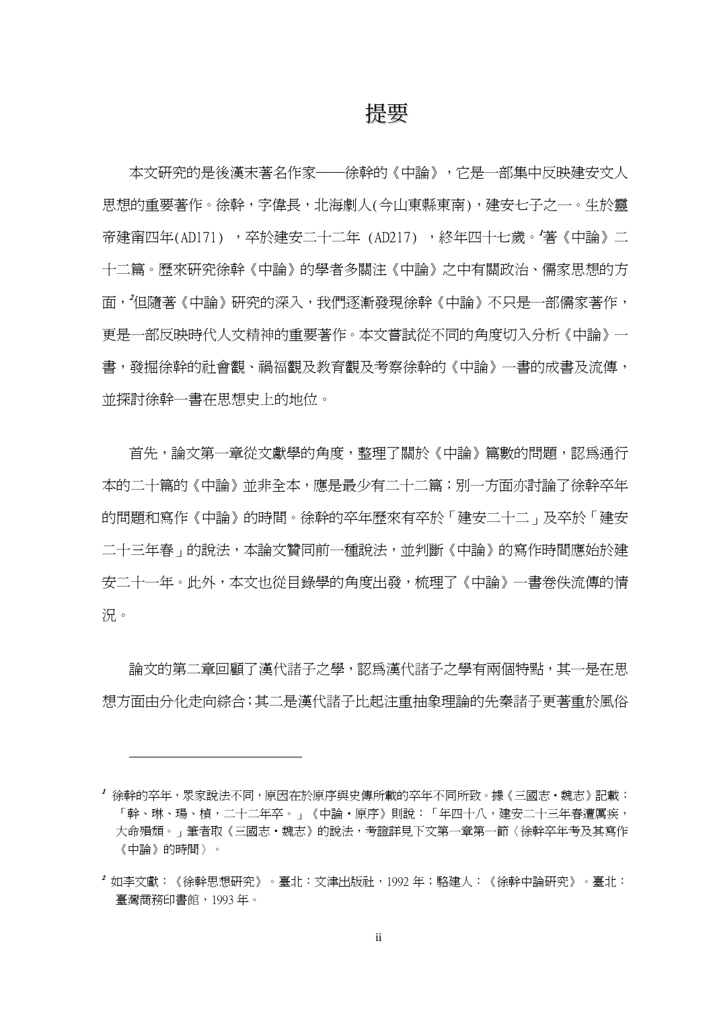### 提要

<span id="page-2-2"></span>本文研究的是後漢末著名作家──徐幹的《中論》,它是一部集中反映建安文人 思想的重要著作。徐幹,字偉長,北海劇人(今山東縣東南),建安七子之一。生於靈 帝建甯四年(AD171) ,卒於建安二十二年 (AD217) ,終年四十七歲。'[著](#page-2-0)《中論》二 十二篇。歷來研究徐幹《中論》的學者多關注《中論》之中有關政治、儒家思想的方 面,<sup>2</sup>[但](#page-2-1)隨著《中論》研究的深入,我們逐漸發現徐幹《中論》不只是一部儒家著作, 更是一部反映時代人文精神的重要著作。本文嘗試從不同的角度切入分析《中論》一 書,發掘徐幹的社會觀、禍福觀及教育觀及考察徐幹的《中論》一書的成書及流傳, 並探討徐幹一書在思想史上的地位。

首先,論文第一章從文獻學的角度,整理了關於《中論》篇數的問題,認為通行 本的二十篇的《中論》並非全本,應是最少有二十二篇;別一方面亦討論了徐幹卒年 的問題和寫作《中論》的時間。徐幹的卒年歷來有卒於「建安二十二」及卒於「建安 二十三年春」的說法,本論文贊同前一種說法,並判斷《中論》的寫作時間應始於建 安二十一年。此外,本文也從目錄學的角度出發,梳理了《中論》一書卷佚流傳的情 況。

論文的第二章回顧了漢代諸子之學代諸子之學有兩個特點,其一是在思 想方面由分化走向綜合;其二是漢代諸子比起注重抽象理論的先秦諸子更著重於風俗

 $\overline{a}$ 

<span id="page-2-0"></span><sup>1</sup> 徐幹的卒年,眾家說法不同,原因在於原序與史傳所載的卒年不同所致。據《三國志‧魏志》記載: 「幹、琳、瑒、楨,二十二年卒。」《中論‧原序》則說:「年四十八,建安二十三年春遭厲疾, 大命殞頹。」筆者取《三國志·魏志》的說法,考證詳見下文第一章第一節〈徐幹卒年考及其寫作 《中論》的時間〉。

<span id="page-2-1"></span><sup>2</sup> 如李文獻:《徐幹思想研究》。臺北:文津出版社,1992 年;駱建人:《徐幹中論研究》。臺北: 臺灣商務印書館,1993 年。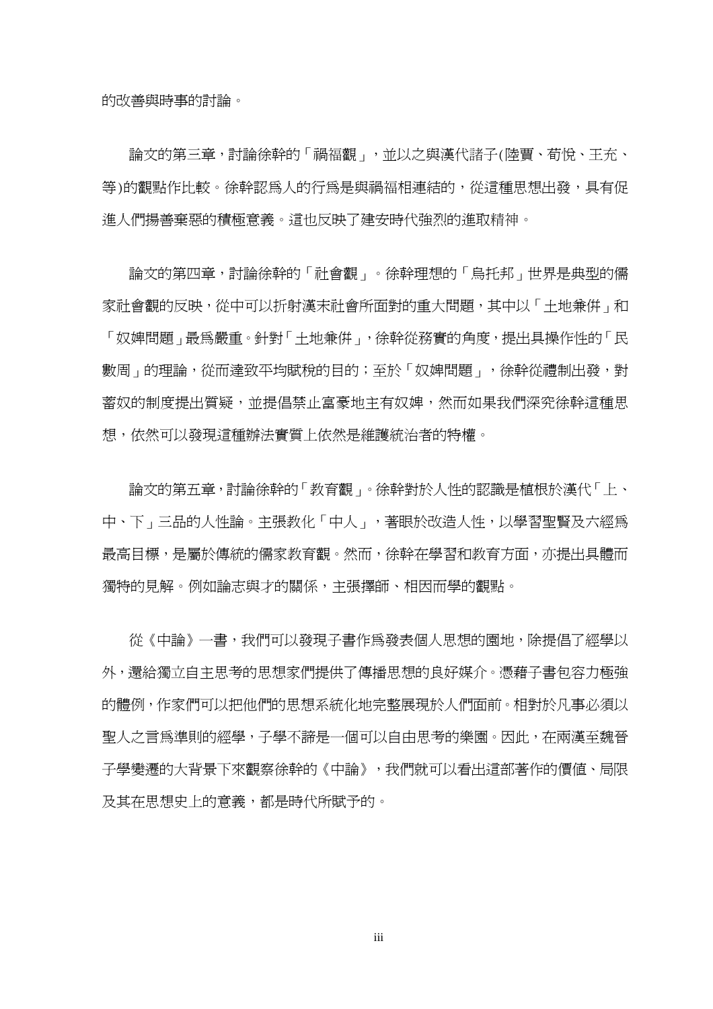的改善與時事的討論。

論文的第三章,討論徐幹的「禍福觀」,並以之與漢代諸子(陸賈、荀悅、王充、 等)的觀點作比較。徐幹認為人的行為是與禍福相連結的,從這種思想出發,具有促 進人們揚善棄惡的積極意義。這也反映了建安時代強烈的進取精神。

論文的第四章,討論徐幹的「社會觀」。徐幹理想的「烏托邦」世界是典型的儒 家社會觀的反映,從中可以折射漢末社會所面對的重大問題,其中以「土地兼併」和 「奴婢問題」最為嚴重。針對「土地兼併」,徐幹從務實的角度,提出具操作性的「民 數周」的理論,從而達致平均賦稅的目的;至於「奴婢問題」,徐幹從禮制出發,對 蓄奴的制度提出質疑,並提倡禁止富豪地主有奴婢,然而如果我們深究徐幹這種思 想,依然可以發現這種辦法實質上依然是維護統治者的特權。

論文的第五章,討論徐幹的「教育觀」。徐幹對於人性的認識是植根於漢代「上、 中、下」三品的人性論。主張教化「中人」,著眼於改造人性,以學習聖賢及六經為 最高目標,是屬於傳統的儒家教育觀。然而,徐幹在學習和教育方面,亦提出具體而 獨特的見解。例如論志與才的關係,主張擇師、相因而學的觀點。

從《中論》一書,我們可以發現子書作爲發表個人思想的園地,除提倡了經學以 外,還給獨立自主思考的思想家們提供了傳播思想的良好媒介。憑藉子書包容力極強 的體例,作家們可以把他們的思想系統化地完整展現於人們面前。相對於凡事必須以 聖人之言為準則的經學,子學不諦是一個可以自由思考的樂園。因此,在兩漢至魏晉 子學變遷的大背景下來觀察徐幹的《中論》,我們就可以看出這部著作的價值、局限 及其在思想史上的意義,都是時代所賦予的。

iii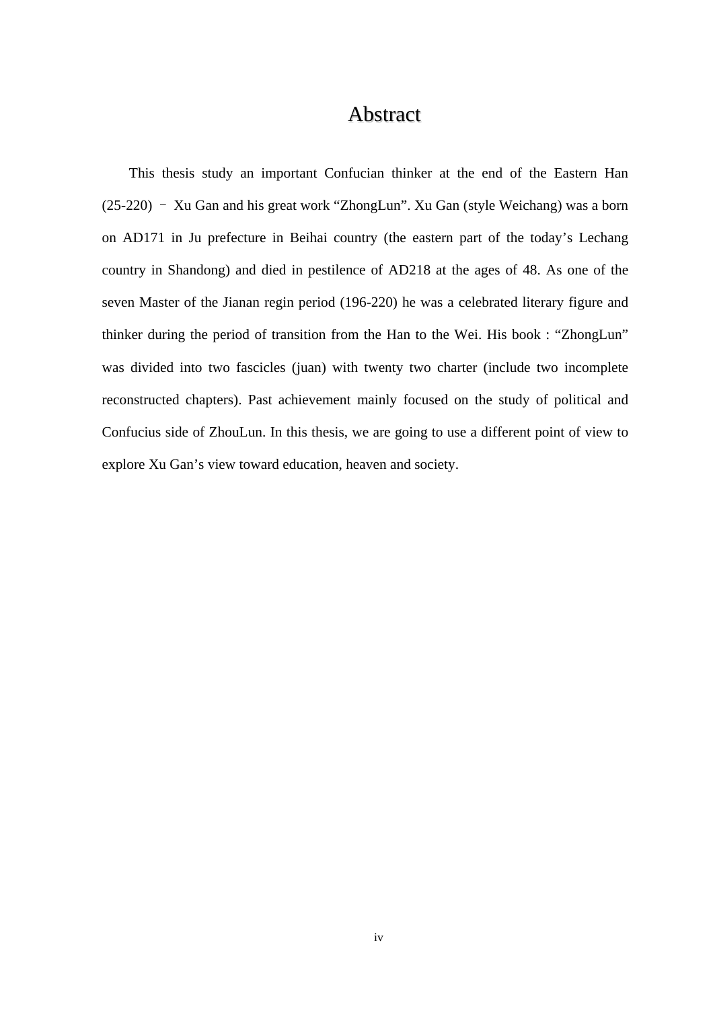#### Abstract

<span id="page-4-0"></span>This thesis study an important Confucian thinker at the end of the Eastern Han  $(25-220)$  – Xu Gan and his great work "ZhongLun". Xu Gan (style Weichang) was a born on AD171 in Ju prefecture in Beihai country (the eastern part of the today's Lechang country in Shandong) and died in pestilence of AD218 at the ages of 48. As one of the seven Master of the Jianan regin period (196-220) he was a celebrated literary figure and thinker during the period of transition from the Han to the Wei. His book : "ZhongLun" was divided into two fascicles (juan) with twenty two charter (include two incomplete reconstructed chapters). Past achievement mainly focused on the study of political and Confucius side of ZhouLun. In this thesis, we are going to use a different point of view to explore Xu Gan's view toward education, heaven and society.